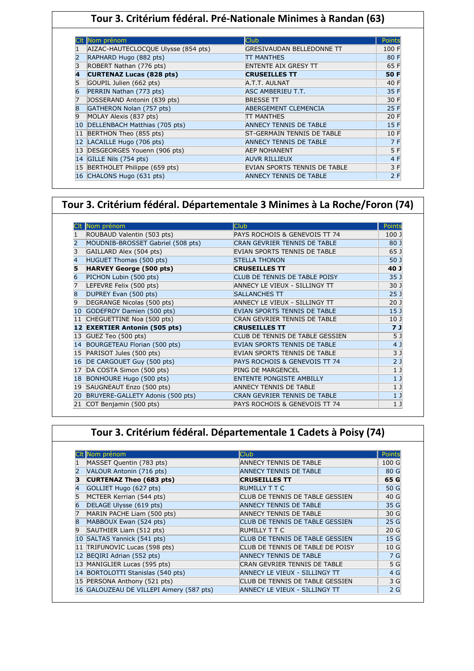## **Tour 3. Critérium fédéral. Pré-Nationale Minimes à Randan (63)**

|    | CIt Nom prénom                      | Club.                             | Points |
|----|-------------------------------------|-----------------------------------|--------|
|    | AIZAC-HAUTECLOCQUE Ulysse (854 pts) | GRESIVAUDAN BELLEDONNE TT         | 100 F  |
| 2  | RAPHARD Hugo (882 pts)              | TT MANTHES                        | 80 F   |
| 3  | ROBERT Nathan (776 pts)             | <b>ENTENTE AIX GRESY TT</b>       | 65 F   |
| 4  | <b>CURTENAZ Lucas (828 pts)</b>     | <b>CRUSEILLES TT</b>              | 50 F   |
| 5  | GOUPIL Julien (662 pts)             | A.T.T. AULNAT                     | 40 F   |
| 6  | PERRIN Nathan (773 pts)             | ASC AMBERIEU T.T.                 | 35 F   |
| 7  | JOSSERAND Antonin (839 pts)         | <b>BRESSE TT</b>                  | 30 F   |
| 8  | GATHERON Nolan (757 pts)            | <b>ABERGEMENT CLEMENCIA</b>       | 25 F   |
| 9  | MOLAY Alexis (837 pts)              | TT MANTHES                        | 20 F   |
| 10 | DELLENBACH Matthias (705 pts)       | <b>ANNECY TENNIS DE TABLE</b>     | 15F    |
| 11 | BERTHON Theo (855 pts)              | <b>ST-GERMAIN TENNIS DE TABLE</b> | 10 F   |
| 12 | LACAILLE Hugo (706 pts)             | ANNECY TENNIS DE TABLE            | 7 F    |
| 13 | DESGEORGES Youenn (906 pts)         | <b>AEP NOHANENT</b>               | 5 F    |
| 14 | GILLE Nils (754 pts)                | <b>AUVR RILLIEUX</b>              | 4 F    |
| 15 | BERTHOLET Philippe (659 pts)        | EVIAN SPORTS TENNIS DE TABLE      | 3 F    |
|    | 16 CHALONS Hugo (631 pts)           | <b>ANNECY TENNIS DE TABLE</b>     | 2F     |

#### **Tour 3. Critérium fédéral. Départementale 3 Minimes à La Roche/Foron (74)**

|    | Nom prénom                        | lClub                           | Points          |
|----|-----------------------------------|---------------------------------|-----------------|
|    | ROUBAUD Valentin (503 pts)        | PAYS ROCHOIS & GENEVOIS TT 74   | 100 J           |
| 2  | MOUDNIB-BROSSET Gabriel (508 pts) | CRAN GEVRIER TENNIS DE TABLE    | 80 J            |
| 3  | GAILLARD Alex (504 pts)           | EVIAN SPORTS TENNIS DE TABLE    | 65 J            |
| 4  | HUGUET Thomas (500 pts)           | <b>STELLA THONON</b>            | 50 J            |
| 5  | <b>HARVEY George (500 pts)</b>    | <b>CRUSEILLES TT</b>            | 40 J            |
| 6  | PICHON Lubin (500 pts)            | CLUB DE TENNIS DE TABLE POISY   | 35 <sub>1</sub> |
| 7  | LEFEVRE Felix (500 pts)           | ANNECY LE VIEUX - SILLINGY TT   | 30 J            |
| 8  | DUPREY Evan (500 pts)             | <b>SALLANCHES TT</b>            | 25 <sub>1</sub> |
| 9  | DEGRANGE Nicolas (500 pts)        | ANNECY LE VIEUX - SILLINGY TT   | 20 <sub>1</sub> |
| 10 | GODEFROY Damien (500 pts)         | EVIAN SPORTS TENNIS DE TABLE    | 15 <sub>1</sub> |
|    | CHEGUETTINE Noa (500 pts)         | CRAN GEVRIER TENNIS DE TABLE    | 10 <sub>1</sub> |
|    | <b>EXERTIER Antonin (505 pts)</b> | <b>CRUSEILLES TT</b>            | 71              |
| 13 | GUEZ Teo (500 pts)                | CLUB DE TENNIS DE TABLE GESSIEN | 5 J             |
|    | BOURGETEAU Florian (500 pts)      | EVIAN SPORTS TENNIS DE TABLE    | 4 J             |
| 15 | PARISOT Jules (500 pts)           | EVIAN SPORTS TENNIS DE TABLE    | 3 <sub>1</sub>  |
| 16 | DE CARGOUET Guy (500 pts)         | PAYS ROCHOIS & GENEVOIS TT 74   | 2 <sub>1</sub>  |
|    | DA COSTA Simon (500 pts)          | <b>PING DE MARGENCEL</b>        | 1 <sub>1</sub>  |
| 18 | BONHOURE Hugo (500 pts)           | <b>ENTENTE PONGISTE AMBILLY</b> | 1 <sub>1</sub>  |
| 19 | SAUGNEAUT Enzo (500 pts)          | <b>ANNECY TENNIS DE TABLE</b>   | 1 <sub>1</sub>  |
| 20 | BRUYERE-GALLETY Adonis (500 pts)  | CRAN GEVRIER TENNIS DE TABLE    | 1 <sub>1</sub>  |
| 21 | COT Benjamin (500 pts)            | PAYS ROCHOIS & GENEVOIS TT 74   | 1 <sub>1</sub>  |

#### **Tour 3. Critérium fédéral. Départementale 1 Cadets à Poisy (74)**

|    | Nom prénom                               | <b>Club</b>                      | Points          |
|----|------------------------------------------|----------------------------------|-----------------|
|    | MASSET Quentin (783 pts)                 | <b>ANNECY TENNIS DE TABLE</b>    | 100 G           |
|    | VALOUR Antonin (716 pts)                 | ANNECY TENNIS DE TABLE           | 80 G            |
| з  | <b>CURTENAZ Theo (683 pts)</b>           | <b>CRUSEILLES TT</b>             | 65 G            |
|    | GOLLIET Hugo (627 pts)                   | <b>RUMILLY T T C</b>             | 50 G            |
|    | MCTEER Kerrian (544 pts)                 | CLUB DE TENNIS DE TABLE GESSIEN  | 40 G            |
| 6  | DELAGE Ulysse (619 pts)                  | <b>ANNECY TENNIS DE TABLE</b>    | 35 G            |
|    | MARIN PACHE Liam (500 pts)               | <b>ANNECY TENNIS DE TABLE</b>    | 30 G            |
| 8  | MABBOUX Ewan (524 pts)                   | CLUB DE TENNIS DE TABLE GESSIEN  | 25 G            |
| 9  | SAUTHIER Liam (512 pts)                  | RUMILLY T T C                    | 20 <sub>G</sub> |
| 10 | SALTAS Yannick (541 pts)                 | CLUB DE TENNIS DE TABLE GESSIEN  | 15 G            |
|    | 11 TRIFUNOVIC Lucas (598 pts)            | CLUB DE TENNIS DE TABLE DE POISY | 10 G            |
|    | 12 BEQIRI Adrian (552 pts)               | <b>ANNECY TENNIS DE TABLE</b>    | 7 G             |
|    | 13 MANIGLIER Lucas (595 pts)             | CRAN GEVRIER TENNIS DE TABLE     | 5 G             |
|    | 14 BORTOLOTTI Stanislas (540 pts)        | ANNECY LE VIEUX - SILLINGY TT    | 4 G             |
|    | 15 PERSONA Anthony (521 pts)             | CLUB DE TENNIS DE TABLE GESSIEN  | 3 G             |
|    | 16 GALOUZEAU DE VILLEPI Aimery (587 pts) | ANNECY LE VIEUX - SILLINGY TT    | 2G              |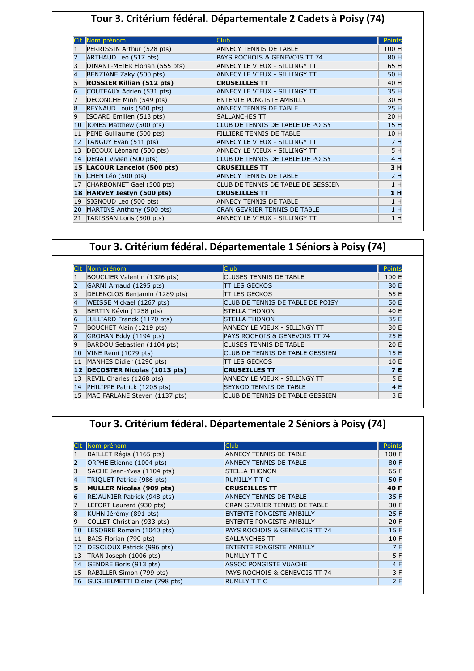|                | Tour 3. Critérium fédéral. Départementale 2 Cadets à Poisy (74) |                                 |       |  |  |  |
|----------------|-----------------------------------------------------------------|---------------------------------|-------|--|--|--|
|                | Club <sup>1</sup><br>Nom prénom<br>Points                       |                                 |       |  |  |  |
| $\mathbf{1}$   | PERRISSIN Arthur (528 pts)                                      | <b>ANNECY TENNIS DE TABLE</b>   | 100 H |  |  |  |
| $\overline{2}$ | ARTHAUD Leo (517 pts)                                           | PAYS ROCHOIS & GENEVOIS TT 74   | 80 H  |  |  |  |
| $\vert$ 3      | DINANT-MEIER Florian (555 pts)                                  | ANNECY LE VIEUX - SILLINGY TT   | 65 H  |  |  |  |
| $\overline{4}$ | BENZIANE Zaky (500 pts)                                         | ANNECY LE VIEUX - SILLINGY TT   | 50 H  |  |  |  |
| 5              | <b>ROSSIER Killian (512 pts)</b>                                | <b>CRUSEILLES TT</b>            | 40 H  |  |  |  |
| 6              | COUTEAUX Adrien (531 pts)                                       | ANNECY LE VIEUX - SILLINGY TT   | 35 H  |  |  |  |
| 17             | DECONCHE Minh (549 nts)                                         | <b>FNTENTE PONGISTE AMBILLY</b> | 30H   |  |  |  |

|   |                              |                                     | -- - |
|---|------------------------------|-------------------------------------|------|
|   | REYNAUD Louis (500 pts)      | <b>ANNECY TENNIS DE TABLE</b>       | 25 H |
| 9 | ISOARD Emilien (513 pts)     | SALLANCHES TT                       | 20 H |
|   | 10 JONES Matthew (500 pts)   | CLUB DE TENNIS DE TABLE DE POISY    | 15 H |
|   | 11 PENE Guillaume (500 pts)  | FILLIERE TENNIS DE TABLE            | 10 H |
|   | 12 TANGUY Evan (511 pts)     | ANNECY LE VIEUX - SILLINGY TT       | 7H   |
|   | 13 DECOUX Léonard (500 pts)  | ANNECY LE VIEUX - SILLINGY TT       | 5 H  |
|   | 14 DENAT Vivien (500 pts)    | CLUB DE TENNIS DE TABLE DE POISY    | 4 H  |
|   |                              |                                     |      |
|   | 15 LACOUR Lancelot (500 pts) | <b>CRUSEILLES TT</b>                | 3H   |
|   | 16 CHEN Léo (500 pts)        | <b>ANNECY TENNIS DE TABLE</b>       | 2H   |
|   | 17 CHARBONNET Gael (500 pts) | CLUB DE TENNIS DE TABLE DE GESSIEN  | 1H   |
|   | 18 HARVEY Iestyn (500 pts)   | <b>CRUSEILLES TT</b>                | 1 H  |
|   | 19 SIGNOUD Leo (500 pts)     | <b>ANNECY TENNIS DE TABLE</b>       | 1H   |
|   | 20 MARTINS Anthony (500 pts) | <b>CRAN GEVRIER TENNIS DE TABLE</b> | 1H   |

## **Tour 3. Critérium fédéral. Départementale 1 Séniors à Poisy (74)**

|              | Nom prénom                         | <b>Club</b>                              | Points    |
|--------------|------------------------------------|------------------------------------------|-----------|
|              | BOUCLIER Valentin (1326 pts)       | <b>CLUSES TENNIS DE TABLE</b>            | 100 E     |
|              | GARNI Arnaud (1295 pts)            | <b>TT LES GECKOS</b>                     | 80 E      |
|              | DELENCLOS Benjamin (1289 pts)      | <b>TT LES GECKOS</b>                     | 65 E      |
| 4            | WEISSE Mickael (1267 pts)          | CLUB DE TENNIS DE TABLE DE POISY         | 50 E      |
|              | BERTIN Kévin (1258 pts)            | <b>STELLA THONON</b>                     | 40 E      |
|              | JULLIARD Franck (1170 pts)         | <b>STELLA THONON</b>                     | 35 E      |
|              | BOUCHET Alain (1219 pts)           | ANNECY LE VIEUX - SILLINGY TT            | 30 E      |
| $\mathsf{8}$ | GROHAN Eddy (1194 pts)             | <b>PAYS ROCHOIS &amp; GENEVOIS TT 74</b> | 25 E      |
| 9            | BARDOU Sebastien (1104 pts)        | <b>CLUSES TENNIS DE TABLE</b>            | 20 E      |
| 10           | VINE Remi (1079 pts)               | CLUB DE TENNIS DE TABLE GESSIEN          | 15 E      |
| 11           | MANHES Didier (1290 pts)           | <b>ITT LES GECKOS</b>                    | 10 E      |
| 12           | <b>DECOSTER Nicolas (1013 pts)</b> | <b>CRUSEILLES TT</b>                     | <b>7E</b> |
| 13           | REVIL Charles (1268 pts)           | ANNECY LE VIEUX - SILLINGY TT            | 5 E       |
| 14           | PHILIPPE Patrick (1205 pts)        | <b>SEYNOD TENNIS DE TABLE</b>            | 4 E       |
| 15           | MAC FARLANE Steven (1137 pts)      | CLUB DE TENNIS DE TABLE GESSIEN          | 3 E       |

# **Tour 3. Critérium fédéral. Départementale 2 Séniors à Poisy (74)**

|    | Nom prénom                      | <b>Club</b>                     | Points |
|----|---------------------------------|---------------------------------|--------|
|    | BAILLET Régis (1165 pts)        | ANNECY TENNIS DE TABLE          | 100 F  |
|    | ORPHE Etienne (1004 pts)        | <b>ANNECY TENNIS DE TABLE</b>   | 80 F   |
| 3  | SACHE Jean-Yves (1104 pts)      | <b>STELLA THONON</b>            | 65 F   |
| 4  | TRIQUET Patrice (986 pts)       | <b>RUMILLY T T C</b>            | 50 F   |
| 5  | <b>MULLER Nicolas (909 pts)</b> | <b>CRUSEILLES TT</b>            | 40 F   |
| 6  | REJAUNIER Patrick (948 pts)     | <b>ANNECY TENNIS DE TABLE</b>   | 35 F   |
|    | LEFORT Laurent (930 pts)        | CRAN GEVRIER TENNIS DE TABLE    | 30 F   |
| 8  | KUHN Jérémy (891 pts)           | <b>ENTENTE PONGISTE AMBILLY</b> | 25 F   |
| 9  | COLLET Christian (933 pts)      | <b>ENTENTE PONGISTE AMBILLY</b> | 20 F   |
| 10 | LESOBRE Romain (1040 pts)       | PAYS ROCHOIS & GENEVOIS TT 74   | 15 F   |
| 11 | BAIS Florian (790 pts)          | <b>SALLANCHES TT</b>            | 10 F   |
| 12 | DESCLOUX Patrick (996 pts)      | <b>ENTENTE PONGISTE AMBILLY</b> | 7 F    |
| 13 | TRAN Joseph (1006 pts)          | <b>RUMLLY T T C</b>             | 5 F    |
| 14 | GENDRE Boris (913 pts)          | <b>ASSOC PONGISTE VUACHE</b>    | 4 F    |
| 15 | RABILLER Simon (799 pts)        | PAYS ROCHOIS & GENEVOIS TT 74   | 3 F    |
| 16 | GUGLIELMETTI Didier (798 pts)   | <b>RUMLLY T T C</b>             | 2F     |